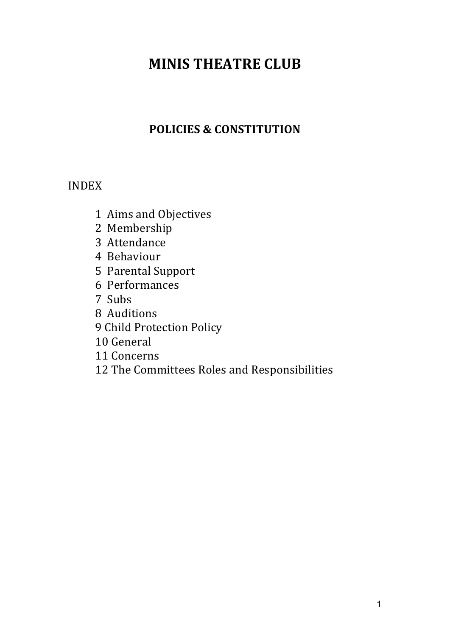# **MINIS THEATRE CLUB**

# **POLICIES & CONSTITUTION**

# INDEX

- Aims and Objectives
- Membership
- Attendance
- Behaviour
- Parental Support
- Performances
- Subs
- Auditions
- Child Protection Policy
- General
- Concerns
- The Committees Roles and Responsibilities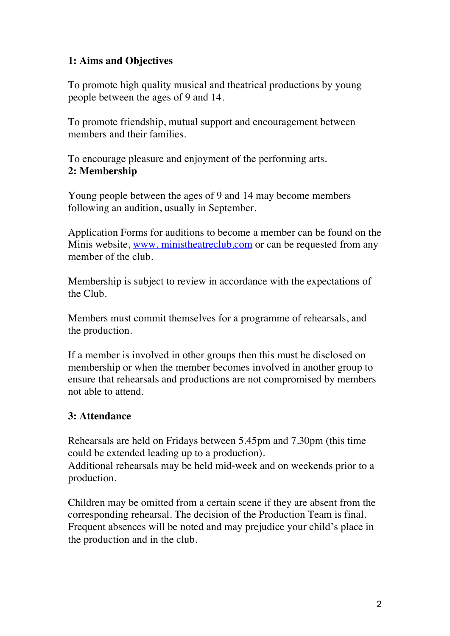#### **1: Aims and Objectives**

To promote high quality musical and theatrical productions by young people between the ages of 9 and 14.

To promote friendship, mutual support and encouragement between members and their families.

To encourage pleasure and enjoyment of the performing arts. **2: Membership**

Young people between the ages of 9 and 14 may become members following an audition, usually in September.

Application Forms for auditions to become a member can be found on the Minis website, www. ministheatreclub.com or can be requested from any member of the club.

Membership is subject to review in accordance with the expectations of the Club.

Members must commit themselves for a programme of rehearsals, and the production.

If a member is involved in other groups then this must be disclosed on membership or when the member becomes involved in another group to ensure that rehearsals and productions are not compromised by members not able to attend.

#### **3: Attendance**

Rehearsals are held on Fridays between 5.45pm and 7.30pm (this time could be extended leading up to a production).

Additional rehearsals may be held mid**‐**week and on weekends prior to a production.

Children may be omitted from a certain scene if they are absent from the corresponding rehearsal. The decision of the Production Team is final. Frequent absences will be noted and may prejudice your child's place in the production and in the club.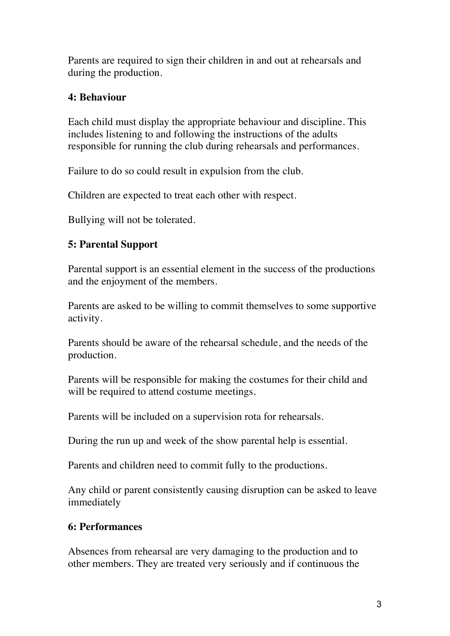Parents are required to sign their children in and out at rehearsals and during the production.

## **4: Behaviour**

Each child must display the appropriate behaviour and discipline. This includes listening to and following the instructions of the adults responsible for running the club during rehearsals and performances.

Failure to do so could result in expulsion from the club.

Children are expected to treat each other with respect.

Bullying will not be tolerated.

# **5: Parental Support**

Parental support is an essential element in the success of the productions and the enjoyment of the members.

Parents are asked to be willing to commit themselves to some supportive activity.

Parents should be aware of the rehearsal schedule, and the needs of the production.

Parents will be responsible for making the costumes for their child and will be required to attend costume meetings.

Parents will be included on a supervision rota for rehearsals.

During the run up and week of the show parental help is essential.

Parents and children need to commit fully to the productions.

Any child or parent consistently causing disruption can be asked to leave immediately

# **6: Performances**

Absences from rehearsal are very damaging to the production and to other members. They are treated very seriously and if continuous the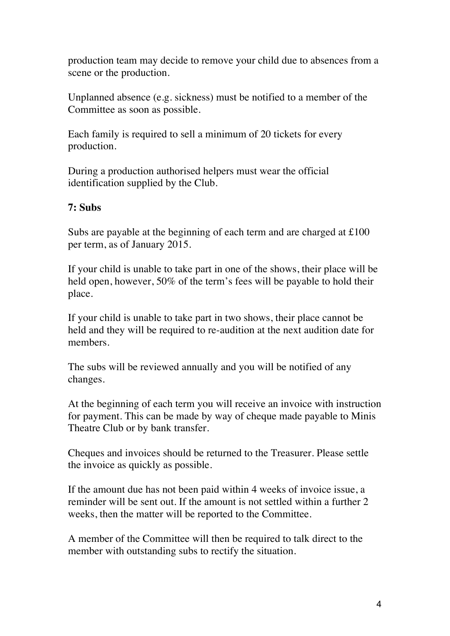production team may decide to remove your child due to absences from a scene or the production.

Unplanned absence (e.g. sickness) must be notified to a member of the Committee as soon as possible.

Each family is required to sell a minimum of 20 tickets for every production.

During a production authorised helpers must wear the official identification supplied by the Club.

#### **7: Subs**

Subs are payable at the beginning of each term and are charged at £100 per term, as of January 2015.

If your child is unable to take part in one of the shows, their place will be held open, however, 50% of the term's fees will be payable to hold their place.

If your child is unable to take part in two shows, their place cannot be held and they will be required to re-audition at the next audition date for members.

The subs will be reviewed annually and you will be notified of any changes.

At the beginning of each term you will receive an invoice with instruction for payment. This can be made by way of cheque made payable to Minis Theatre Club or by bank transfer.

Cheques and invoices should be returned to the Treasurer. Please settle the invoice as quickly as possible.

If the amount due has not been paid within 4 weeks of invoice issue, a reminder will be sent out. If the amount is not settled within a further 2 weeks, then the matter will be reported to the Committee.

A member of the Committee will then be required to talk direct to the member with outstanding subs to rectify the situation.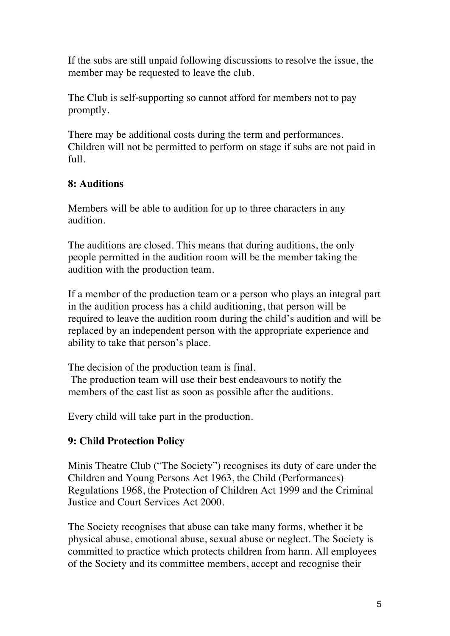If the subs are still unpaid following discussions to resolve the issue, the member may be requested to leave the club.

The Club is self**‐**supporting so cannot afford for members not to pay promptly.

There may be additional costs during the term and performances. Children will not be permitted to perform on stage if subs are not paid in full.

# **8: Auditions**

Members will be able to audition for up to three characters in any audition.

The auditions are closed. This means that during auditions, the only people permitted in the audition room will be the member taking the audition with the production team.

If a member of the production team or a person who plays an integral part in the audition process has a child auditioning, that person will be required to leave the audition room during the child's audition and will be replaced by an independent person with the appropriate experience and ability to take that person's place.

The decision of the production team is final. The production team will use their best endeavours to notify the members of the cast list as soon as possible after the auditions.

Every child will take part in the production.

#### **9: Child Protection Policy**

Minis Theatre Club ("The Society") recognises its duty of care under the Children and Young Persons Act 1963, the Child (Performances) Regulations 1968, the Protection of Children Act 1999 and the Criminal Justice and Court Services Act 2000.

The Society recognises that abuse can take many forms, whether it be physical abuse, emotional abuse, sexual abuse or neglect. The Society is committed to practice which protects children from harm. All employees of the Society and its committee members, accept and recognise their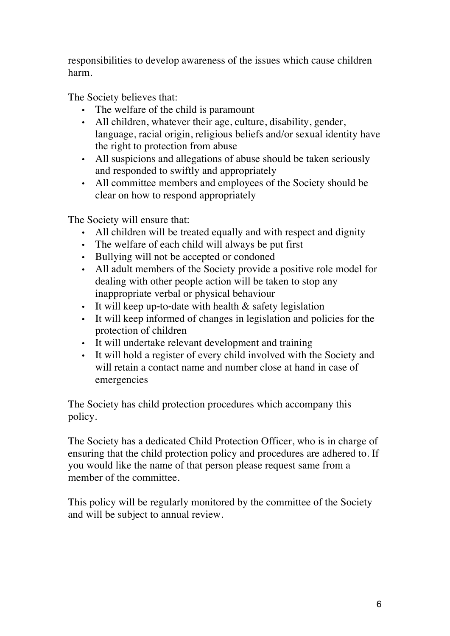responsibilities to develop awareness of the issues which cause children harm.

The Society believes that:

- The welfare of the child is paramount
- All children, whatever their age, culture, disability, gender, language, racial origin, religious beliefs and/or sexual identity have the right to protection from abuse
- All suspicions and allegations of abuse should be taken seriously and responded to swiftly and appropriately
- All committee members and employees of the Society should be clear on how to respond appropriately

The Society will ensure that:

- All children will be treated equally and with respect and dignity
- The welfare of each child will always be put first
- Bullying will not be accepted or condoned
- All adult members of the Society provide a positive role model for dealing with other people action will be taken to stop any inappropriate verbal or physical behaviour
- It will keep up**‐**to**‐**date with health & safety legislation
- It will keep informed of changes in legislation and policies for the protection of children
- It will undertake relevant development and training
- It will hold a register of every child involved with the Society and will retain a contact name and number close at hand in case of emergencies

The Society has child protection procedures which accompany this policy.

The Society has a dedicated Child Protection Officer, who is in charge of ensuring that the child protection policy and procedures are adhered to. If you would like the name of that person please request same from a member of the committee.

This policy will be regularly monitored by the committee of the Society and will be subject to annual review.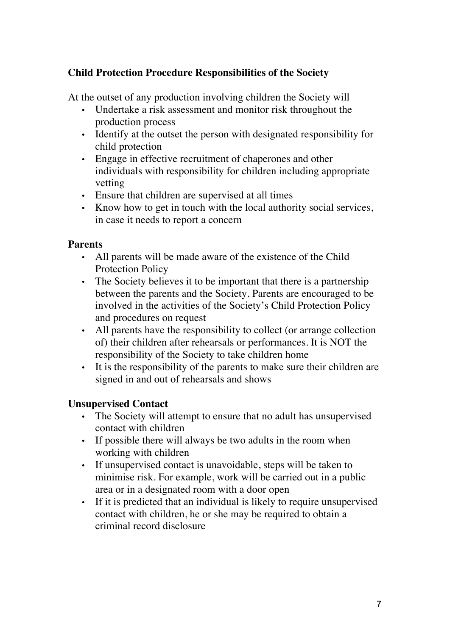## **Child Protection Procedure Responsibilities of the Society**

At the outset of any production involving children the Society will

- Undertake a risk assessment and monitor risk throughout the production process
- Identify at the outset the person with designated responsibility for child protection
- Engage in effective recruitment of chaperones and other individuals with responsibility for children including appropriate vetting
- Ensure that children are supervised at all times
- Know how to get in touch with the local authority social services, in case it needs to report a concern

#### **Parents**

- All parents will be made aware of the existence of the Child Protection Policy
- The Society believes it to be important that there is a partnership between the parents and the Society. Parents are encouraged to be involved in the activities of the Society's Child Protection Policy and procedures on request
- All parents have the responsibility to collect (or arrange collection of) their children after rehearsals or performances. It is NOT the responsibility of the Society to take children home
- It is the responsibility of the parents to make sure their children are signed in and out of rehearsals and shows

#### **Unsupervised Contact**

- The Society will attempt to ensure that no adult has unsupervised contact with children
- If possible there will always be two adults in the room when working with children
- If unsupervised contact is unavoidable, steps will be taken to minimise risk. For example, work will be carried out in a public area or in a designated room with a door open
- If it is predicted that an individual is likely to require unsupervised contact with children, he or she may be required to obtain a criminal record disclosure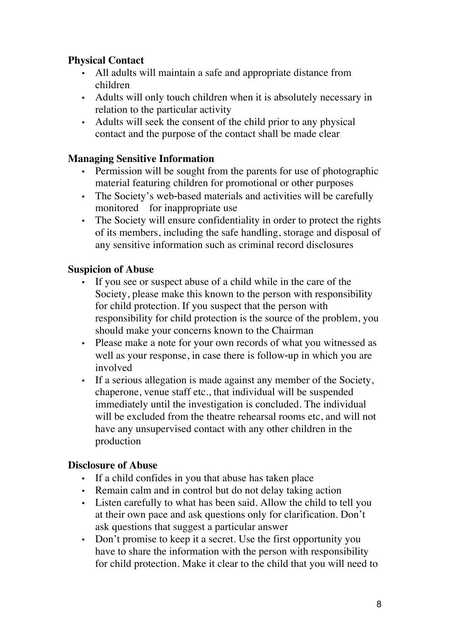## **Physical Contact**

- All adults will maintain a safe and appropriate distance from children
- Adults will only touch children when it is absolutely necessary in relation to the particular activity
- Adults will seek the consent of the child prior to any physical contact and the purpose of the contact shall be made clear

# **Managing Sensitive Information**

- Permission will be sought from the parents for use of photographic material featuring children for promotional or other purposes
- The Society's web-based materials and activities will be carefully monitored for inappropriate use
- The Society will ensure confidentiality in order to protect the rights of its members, including the safe handling, storage and disposal of any sensitive information such as criminal record disclosures

#### **Suspicion of Abuse**

- If you see or suspect abuse of a child while in the care of the Society, please make this known to the person with responsibility for child protection. If you suspect that the person with responsibility for child protection is the source of the problem, you should make your concerns known to the Chairman
- Please make a note for your own records of what you witnessed as well as your response, in case there is follow-up in which you are involved
- If a serious allegation is made against any member of the Society, chaperone, venue staff etc., that individual will be suspended immediately until the investigation is concluded. The individual will be excluded from the theatre rehearsal rooms etc, and will not have any unsupervised contact with any other children in the production

#### **Disclosure of Abuse**

- If a child confides in you that abuse has taken place
- Remain calm and in control but do not delay taking action
- Listen carefully to what has been said. Allow the child to tell you at their own pace and ask questions only for clarification. Don't ask questions that suggest a particular answer
- Don't promise to keep it a secret. Use the first opportunity you have to share the information with the person with responsibility for child protection. Make it clear to the child that you will need to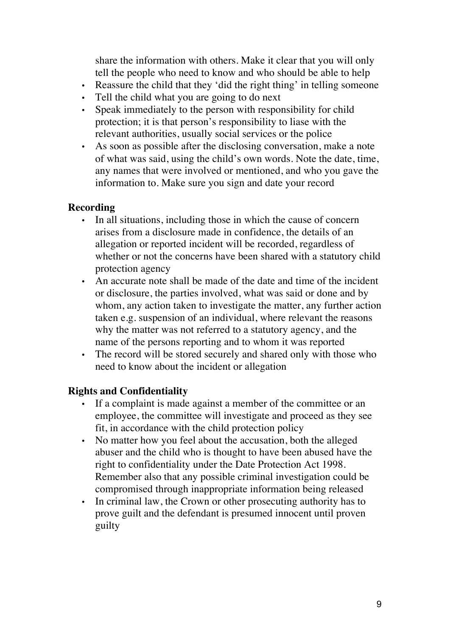share the information with others. Make it clear that you will only tell the people who need to know and who should be able to help

- Reassure the child that they 'did the right thing' in telling someone
- Tell the child what you are going to do next
- Speak immediately to the person with responsibility for child protection; it is that person's responsibility to liase with the relevant authorities, usually social services or the police
- As soon as possible after the disclosing conversation, make a note of what was said, using the child's own words. Note the date, time, any names that were involved or mentioned, and who you gave the information to. Make sure you sign and date your record

#### **Recording**

- In all situations, including those in which the cause of concern arises from a disclosure made in confidence, the details of an allegation or reported incident will be recorded, regardless of whether or not the concerns have been shared with a statutory child protection agency
- An accurate note shall be made of the date and time of the incident or disclosure, the parties involved, what was said or done and by whom, any action taken to investigate the matter, any further action taken e.g. suspension of an individual, where relevant the reasons why the matter was not referred to a statutory agency, and the name of the persons reporting and to whom it was reported
- The record will be stored securely and shared only with those who need to know about the incident or allegation

#### **Rights and Confidentiality**

- If a complaint is made against a member of the committee or an employee, the committee will investigate and proceed as they see fit, in accordance with the child protection policy
- No matter how you feel about the accusation, both the alleged abuser and the child who is thought to have been abused have the right to confidentiality under the Date Protection Act 1998. Remember also that any possible criminal investigation could be compromised through inappropriate information being released
- In criminal law, the Crown or other prosecuting authority has to prove guilt and the defendant is presumed innocent until proven guilty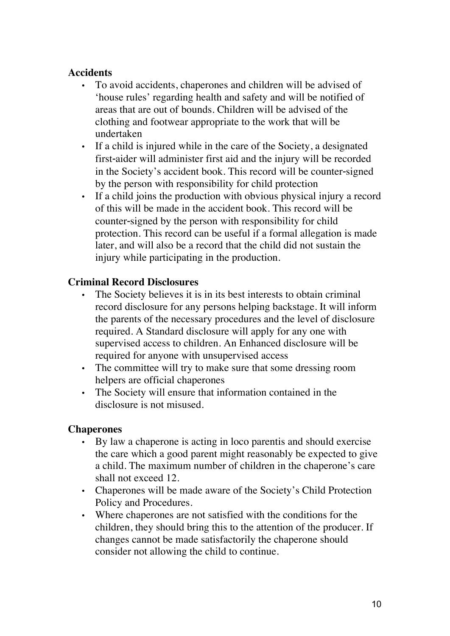#### **Accidents**

- To avoid accidents, chaperones and children will be advised of 'house rules' regarding health and safety and will be notified of areas that are out of bounds. Children will be advised of the clothing and footwear appropriate to the work that will be undertaken
- If a child is injured while in the care of the Society, a designated first**‐**aider will administer first aid and the injury will be recorded in the Society's accident book. This record will be counter**‐**signed by the person with responsibility for child protection
- If a child joins the production with obvious physical injury a record of this will be made in the accident book. This record will be counter**‐**signed by the person with responsibility for child protection. This record can be useful if a formal allegation is made later, and will also be a record that the child did not sustain the injury while participating in the production.

#### **Criminal Record Disclosures**

- The Society believes it is in its best interests to obtain criminal record disclosure for any persons helping backstage. It will inform the parents of the necessary procedures and the level of disclosure required. A Standard disclosure will apply for any one with supervised access to children. An Enhanced disclosure will be required for anyone with unsupervised access
- The committee will try to make sure that some dressing room helpers are official chaperones
- The Society will ensure that information contained in the disclosure is not misused.

#### **Chaperones**

- By law a chaperone is acting in loco parentis and should exercise the care which a good parent might reasonably be expected to give a child. The maximum number of children in the chaperone's care shall not exceed 12.
- Chaperones will be made aware of the Society's Child Protection Policy and Procedures.
- Where chaperones are not satisfied with the conditions for the children, they should bring this to the attention of the producer. If changes cannot be made satisfactorily the chaperone should consider not allowing the child to continue.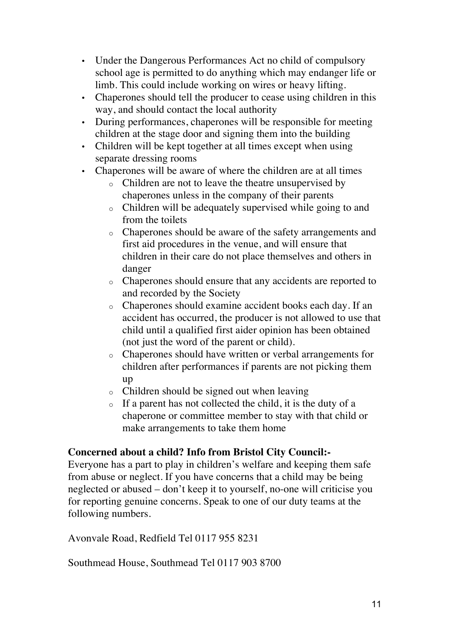- Under the Dangerous Performances Act no child of compulsory school age is permitted to do anything which may endanger life or limb. This could include working on wires or heavy lifting.
- Chaperones should tell the producer to cease using children in this way, and should contact the local authority
- During performances, chaperones will be responsible for meeting children at the stage door and signing them into the building
- Children will be kept together at all times except when using separate dressing rooms
- Chaperones will be aware of where the children are at all times
	- o Children are not to leave the theatre unsupervised by chaperones unless in the company of their parents
	- o Children will be adequately supervised while going to and from the toilets
	- o Chaperones should be aware of the safety arrangements and first aid procedures in the venue, and will ensure that children in their care do not place themselves and others in danger
	- o Chaperones should ensure that any accidents are reported to and recorded by the Society
	- o Chaperones should examine accident books each day. If an accident has occurred, the producer is not allowed to use that child until a qualified first aider opinion has been obtained (not just the word of the parent or child).
	- o Chaperones should have written or verbal arrangements for children after performances if parents are not picking them up
	- o Children should be signed out when leaving
	- o If a parent has not collected the child, it is the duty of a chaperone or committee member to stay with that child or make arrangements to take them home

#### **Concerned about a child? Info from Bristol City Council:-**

Everyone has a part to play in children's welfare and keeping them safe from abuse or neglect. If you have concerns that a child may be being neglected or abused – don't keep it to yourself, no-one will criticise you for reporting genuine concerns. Speak to one of our duty teams at the following numbers.

Avonvale Road, Redfield Tel 0117 955 8231

Southmead House, Southmead Tel 0117 903 8700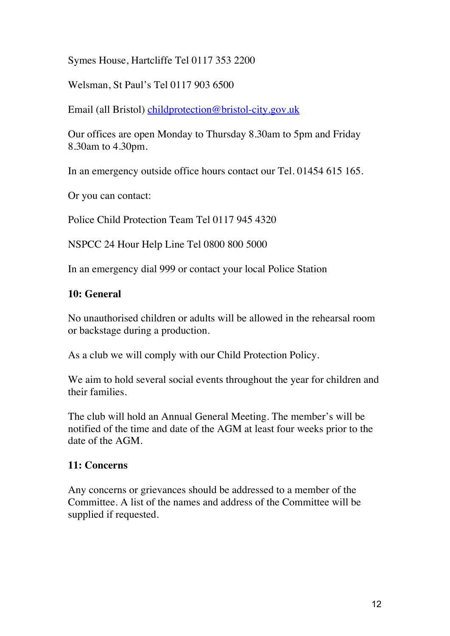Symes House, Hartcliffe Tel 0117 353 2200

Welsman, St Paul's Tel 0117 903 6500

Email (all Bristol) childprotection@bristol-city.gov.uk

Our offices are open Monday to Thursday 8.30am to 5pm and Friday 8.30am to 4.30pm.

In an emergency outside office hours contact our Tel. 01454 615 165.

Or you can contact:

Police Child Protection Team Tel 0117 945 4320

NSPCC 24 Hour Help Line Tel 0800 800 5000

In an emergency dial 999 or contact your local Police Station

#### **10: General**

No unauthorised children or adults will be allowed in the rehearsal room or backstage during a production.

As a club we will comply with our Child Protection Policy.

We aim to hold several social events throughout the year for children and their families.

The club will hold an Annual General Meeting. The member's will be notified of the time and date of the AGM at least four weeks prior to the date of the AGM.

#### **11: Concerns**

Any concerns or grievances should be addressed to a member of the Committee. A list of the names and address of the Committee will be supplied if requested.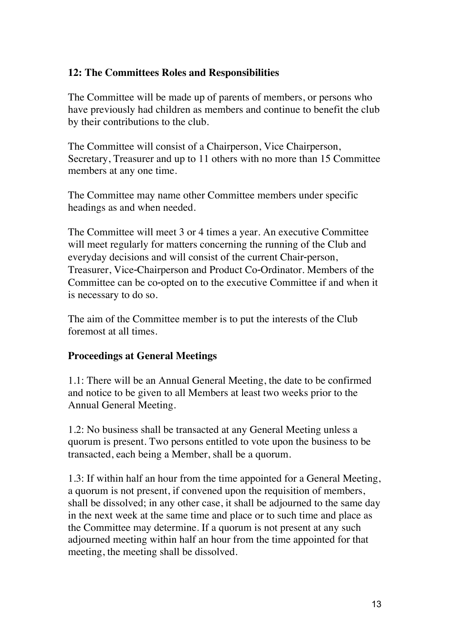#### **12: The Committees Roles and Responsibilities**

The Committee will be made up of parents of members, or persons who have previously had children as members and continue to benefit the club by their contributions to the club.

The Committee will consist of a Chairperson, Vice Chairperson, Secretary, Treasurer and up to 11 others with no more than 15 Committee members at any one time.

The Committee may name other Committee members under specific headings as and when needed.

The Committee will meet 3 or 4 times a year. An executive Committee will meet regularly for matters concerning the running of the Club and everyday decisions and will consist of the current Chair**‐**person, Treasurer, Vice**‐**Chairperson and Product Co**‐**Ordinator. Members of the Committee can be co**‐**opted on to the executive Committee if and when it is necessary to do so.

The aim of the Committee member is to put the interests of the Club foremost at all times.

#### **Proceedings at General Meetings**

1.1: There will be an Annual General Meeting, the date to be confirmed and notice to be given to all Members at least two weeks prior to the Annual General Meeting.

1.2: No business shall be transacted at any General Meeting unless a quorum is present. Two persons entitled to vote upon the business to be transacted, each being a Member, shall be a quorum.

1.3: If within half an hour from the time appointed for a General Meeting, a quorum is not present, if convened upon the requisition of members, shall be dissolved; in any other case, it shall be adjourned to the same day in the next week at the same time and place or to such time and place as the Committee may determine. If a quorum is not present at any such adjourned meeting within half an hour from the time appointed for that meeting, the meeting shall be dissolved.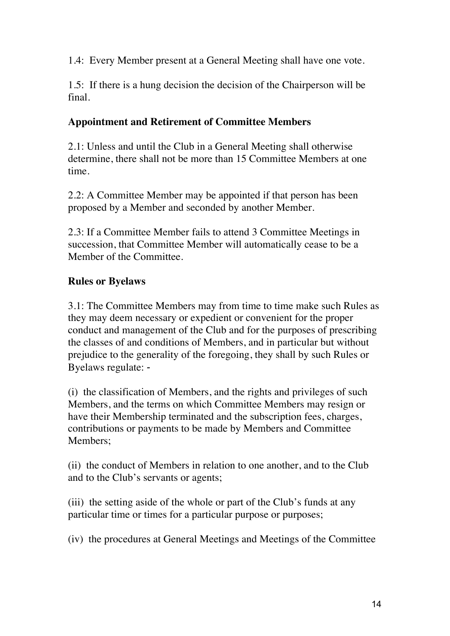1.4: Every Member present at a General Meeting shall have one vote.

1.5: If there is a hung decision the decision of the Chairperson will be final.

#### **Appointment and Retirement of Committee Members**

2.1: Unless and until the Club in a General Meeting shall otherwise determine, there shall not be more than 15 Committee Members at one time.

2.2: A Committee Member may be appointed if that person has been proposed by a Member and seconded by another Member.

2.3: If a Committee Member fails to attend 3 Committee Meetings in succession, that Committee Member will automatically cease to be a Member of the Committee.

# **Rules or Byelaws**

3.1: The Committee Members may from time to time make such Rules as they may deem necessary or expedient or convenient for the proper conduct and management of the Club and for the purposes of prescribing the classes of and conditions of Members, and in particular but without prejudice to the generality of the foregoing, they shall by such Rules or Byelaws regulate: **‐**

(i) the classification of Members, and the rights and privileges of such Members, and the terms on which Committee Members may resign or have their Membership terminated and the subscription fees, charges, contributions or payments to be made by Members and Committee Members;

(ii) the conduct of Members in relation to one another, and to the Club and to the Club's servants or agents;

(iii) the setting aside of the whole or part of the Club's funds at any particular time or times for a particular purpose or purposes;

(iv) the procedures at General Meetings and Meetings of the Committee